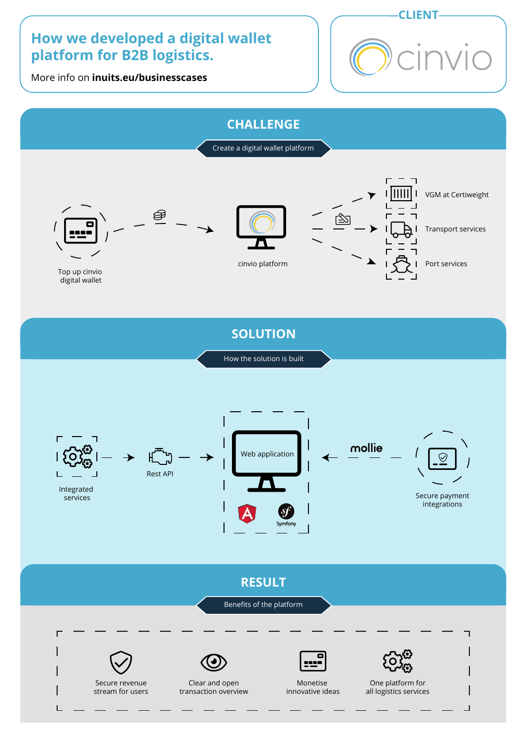# **How we developed a digital wallet platform for B2B logistics.**

More info on **inuits.eu/businesscases**







**SOLUTION**

How the solution is built



**RESULT**

Benefits of the platform



L

stream for users



Clear and open transaction overview



Monetise innovative ideas



 $\overline{\mathsf{I}}$ 

One platform for all logistics services